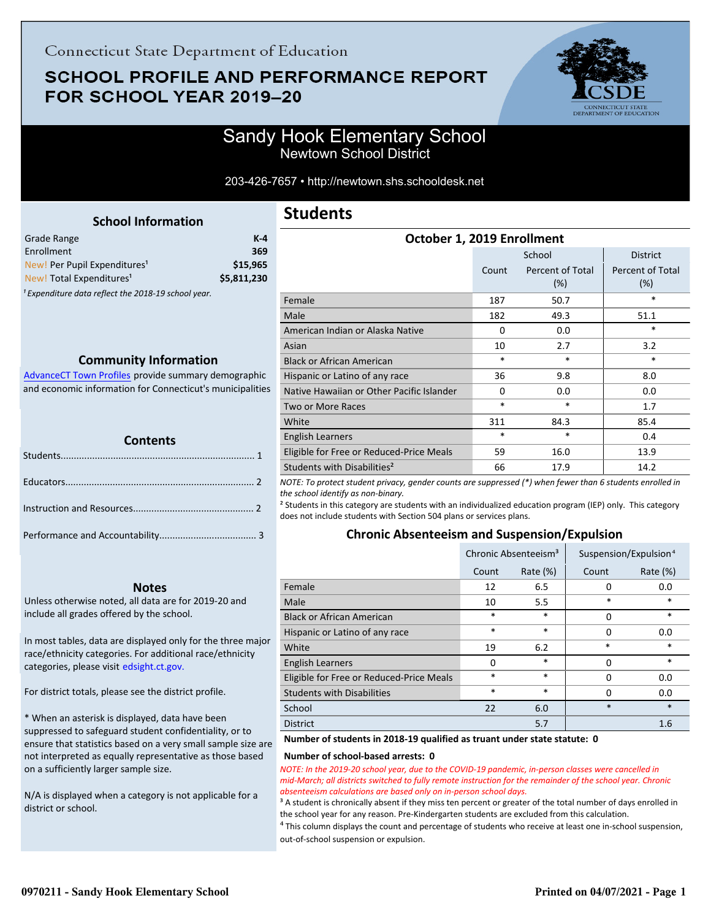# **SCHOOL PROFILE AND PERFORMANCE REPORT** FOR SCHOOL YEAR 2019-20



## Sandy Hook Elementary School Newtown School District

203-426-7657 • http://newtown.shs.schooldesk.net

<span id="page-0-0"></span>

| Grade Range                                                    | K-4         |
|----------------------------------------------------------------|-------------|
| Enrollment                                                     | 369         |
| New! Per Pupil Expenditures <sup>1</sup>                       | \$15,965    |
| New! Total Expenditures <sup>1</sup>                           | \$5,811,230 |
| <sup>1</sup> Expenditure data reflect the 2018-19 school year. |             |

### **Community Information**

AdvanceCT Town Profiles provide summary demographic  [and economic information for Connecticut's municipalities](http://www.cerc.com/townprofiles/)

| <b>Contents</b> |  |  |  |
|-----------------|--|--|--|
|                 |  |  |  |
|                 |  |  |  |
|                 |  |  |  |
|                 |  |  |  |

### **Notes**

Unless otherwise noted, all data are for 2019-20 and include all grades offered by the school.

[In most tables, data are displayed only for the three major](http://edsight.ct.gov/) race/ethnicity categories. For additional race/ethnicity categories, please visit edsight.ct.gov.

For district totals, please see the district profile.

\* When an asterisk is displayed, data have been suppressed to safeguard student confidentiality, or to ensure that statistics based on a very small sample size are not interpreted as equally representative as those based on a sufficiently larger sample size.

N/A is displayed when a category is not applicable for a district or school.

# **Students**

| October 1, 2019 Enrollment                |          |                            |                         |  |
|-------------------------------------------|----------|----------------------------|-------------------------|--|
|                                           |          | School                     | <b>District</b>         |  |
|                                           | Count    | Percent of Total<br>$(\%)$ | Percent of Total<br>(%) |  |
| Female                                    | 187      | 50.7                       | *                       |  |
| Male                                      | 182      | 49.3                       | 51.1                    |  |
| American Indian or Alaska Native          | 0        | 0.0                        | *                       |  |
| Asian                                     | 10       | 2.7                        | 3.2                     |  |
| <b>Black or African American</b>          | $\ast$   | *                          | *                       |  |
| Hispanic or Latino of any race            | 36       | 9.8                        | 8.0                     |  |
| Native Hawaiian or Other Pacific Islander | $\Omega$ | 0.0                        | 0.0                     |  |
| Two or More Races                         | $\ast$   | $\ast$                     | 1.7                     |  |
| White                                     | 311      | 84.3                       | 85.4                    |  |
| English Learners                          | $\ast$   | *                          | 0.4                     |  |
| Eligible for Free or Reduced-Price Meals  | 59       | 16.0                       | 13.9                    |  |
| Students with Disabilities <sup>2</sup>   | 66       | 17.9                       | 14.2                    |  |

*NOTE: To protect student privacy, gender counts are suppressed (\*) when fewer than 6 students enrolled in the school identify as non-binary.*

² Students in this category are students with an individualized education program (IEP) only. This category does not include students with Section 504 plans or services plans.

### **Chronic Absenteeism and Suspension/Expulsion**

|                                          | Chronic Absenteeism <sup>3</sup> |             | Suspension/Expulsion <sup>4</sup> |             |
|------------------------------------------|----------------------------------|-------------|-----------------------------------|-------------|
|                                          | Count                            | Rate $(\%)$ | Count                             | Rate $(\%)$ |
| Female                                   | 12                               | 6.5         | 0                                 | 0.0         |
| Male                                     | 10                               | 5.5         | *                                 | $\ast$      |
| <b>Black or African American</b>         | $\ast$                           | $\ast$      | 0                                 | $\ast$      |
| Hispanic or Latino of any race           | $\ast$                           | $\ast$      | 0                                 | 0.0         |
| White                                    | 19                               | 6.2         | *                                 | $\ast$      |
| <b>English Learners</b>                  | 0                                | $\ast$      | 0                                 | $\ast$      |
| Eligible for Free or Reduced-Price Meals | $\ast$                           | $\ast$      | 0                                 | 0.0         |
| <b>Students with Disabilities</b>        | $\ast$                           | *           | 0                                 | 0.0         |
| School                                   | 22                               | 6.0         | $\ast$                            | $\ast$      |
| <b>District</b>                          |                                  | 5.7         |                                   | 1.6         |

### **Number of students in 2018-19 qualified as truant under state statute: 0**

### **Number of school-based arrests: 0**

*NOTE: In the 2019-20 school year, due to the COVID-19 pandemic, in-person classes were cancelled in mid-March; all districts switched to fully remote instruction for the remainder of the school year. Chronic absenteeism calculations are based only on in-person school days.*

<sup>3</sup> A student is chronically absent if they miss ten percent or greater of the total number of days enrolled in the school year for any reason. Pre-Kindergarten students are excluded from this calculation.

 $4$  This column displays the count and percentage of students who receive at least one in-school suspension, out-of-school suspension or expulsion.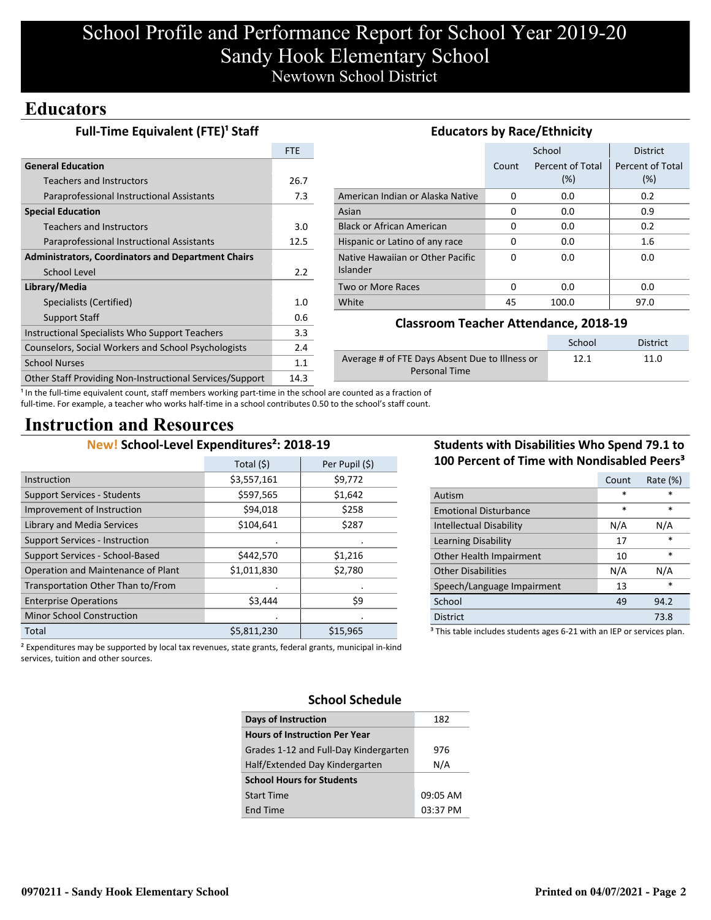# School Profile and Performance Report for School Year 2019-20 Sandy Hook Elementary School Newtown School District

# **Educators**

| <b>Full-Time Equivalent (FTE)<sup>1</sup> Staff</b>       | <b>Educators by Race/Ethnicity</b> |                                                        |          |                  |                  |
|-----------------------------------------------------------|------------------------------------|--------------------------------------------------------|----------|------------------|------------------|
|                                                           | <b>FTE</b>                         |                                                        |          | School           | <b>District</b>  |
| <b>General Education</b>                                  |                                    |                                                        | Count    | Percent of Total | Percent of Total |
| <b>Teachers and Instructors</b>                           | 26.7                               |                                                        |          | (%)              | (%)              |
| Paraprofessional Instructional Assistants                 | 7.3                                | American Indian or Alaska Native                       | 0        | 0.0              | 0.2              |
| <b>Special Education</b>                                  |                                    | Asian                                                  | $\Omega$ | 0.0              | 0.9              |
| <b>Teachers and Instructors</b>                           | 3.0                                | <b>Black or African American</b>                       | $\Omega$ | 0.0              | 0.2              |
| Paraprofessional Instructional Assistants                 | 12.5                               | Hispanic or Latino of any race                         | 0        | 0.0              | 1.6              |
| <b>Administrators, Coordinators and Department Chairs</b> |                                    | Native Hawaiian or Other Pacific                       | $\Omega$ | 0.0              | 0.0              |
| School Level                                              | 2.2                                | <b>Islander</b>                                        |          |                  |                  |
| Library/Media                                             |                                    | Two or More Races                                      | $\Omega$ | 0.0              | 0.0              |
| Specialists (Certified)                                   | 1.0                                | White                                                  | 45       | 100.0            | 97.0             |
| Support Staff                                             | 0.6                                |                                                        |          |                  |                  |
| Instructional Specialists Who Support Teachers            | 3.3                                | <b>Classroom Teacher Attendance, 2018-19</b>           |          |                  |                  |
| Counselors, Social Workers and School Psychologists       | 2.4                                |                                                        |          | School           | <b>District</b>  |
| <b>School Nurses</b>                                      | 1.1                                | Average # of FTE Days Absent Due to Illness or<br>12.1 |          | 11.0             |                  |
| Other Staff Providing Non-Instructional Services/Support  | 14.3                               | <b>Personal Time</b>                                   |          |                  |                  |

<sup>1</sup> In the full-time equivalent count, staff members working part-time in the school are counted as a fraction of full-time. For example, a teacher who works half-time in a school contributes 0.50 to the school's staff count.

# **Instruction and Resources**

# **New! School-Level Expenditures²: 2018-19**

|                                       | Total (\$)  | Per Pupil (\$) |
|---------------------------------------|-------------|----------------|
| Instruction                           | \$3,557,161 | \$9,772        |
| <b>Support Services - Students</b>    | \$597,565   | \$1,642        |
| Improvement of Instruction            | \$94,018    | \$258          |
| Library and Media Services            | \$104,641   | \$287          |
| <b>Support Services - Instruction</b> |             |                |
| Support Services - School-Based       | \$442,570   | \$1,216        |
| Operation and Maintenance of Plant    | \$1,011,830 | \$2,780        |
| Transportation Other Than to/From     |             |                |
| <b>Enterprise Operations</b>          | \$3,444     | \$9            |
| <b>Minor School Construction</b>      |             |                |
| Total                                 | \$5,811,230 | \$15,965       |

## **Students with Disabilities Who Spend 79.1 to 100 Percent of Time with Nondisabled Peers³**

|                                                                                   | Count | Rate (%) |  |  |
|-----------------------------------------------------------------------------------|-------|----------|--|--|
| Autism                                                                            | *     | *        |  |  |
| <b>Emotional Disturbance</b>                                                      | *     | $\ast$   |  |  |
| <b>Intellectual Disability</b>                                                    | N/A   | N/A      |  |  |
| Learning Disability                                                               | 17    | $\ast$   |  |  |
| Other Health Impairment                                                           | 10    | $\ast$   |  |  |
| <b>Other Disabilities</b>                                                         | N/A   | N/A      |  |  |
| Speech/Language Impairment                                                        | 13    | *        |  |  |
| School                                                                            | 49    | 94.2     |  |  |
| <b>District</b>                                                                   |       | 73.8     |  |  |
| <sup>3</sup> This table includes students ages 6-21 with an IEP or services plan. |       |          |  |  |

² Expenditures may be supported by local tax revenues, state grants, federal grants, municipal in-kind services, tuition and other sources.

### **School Schedule**

| <b>Days of Instruction</b>            | 182      |
|---------------------------------------|----------|
| <b>Hours of Instruction Per Year</b>  |          |
| Grades 1-12 and Full-Day Kindergarten | 976      |
| Half/Extended Day Kindergarten        | N/A      |
| <b>School Hours for Students</b>      |          |
| <b>Start Time</b>                     | 09:05 AM |
| <b>End Time</b>                       | 03:37 PM |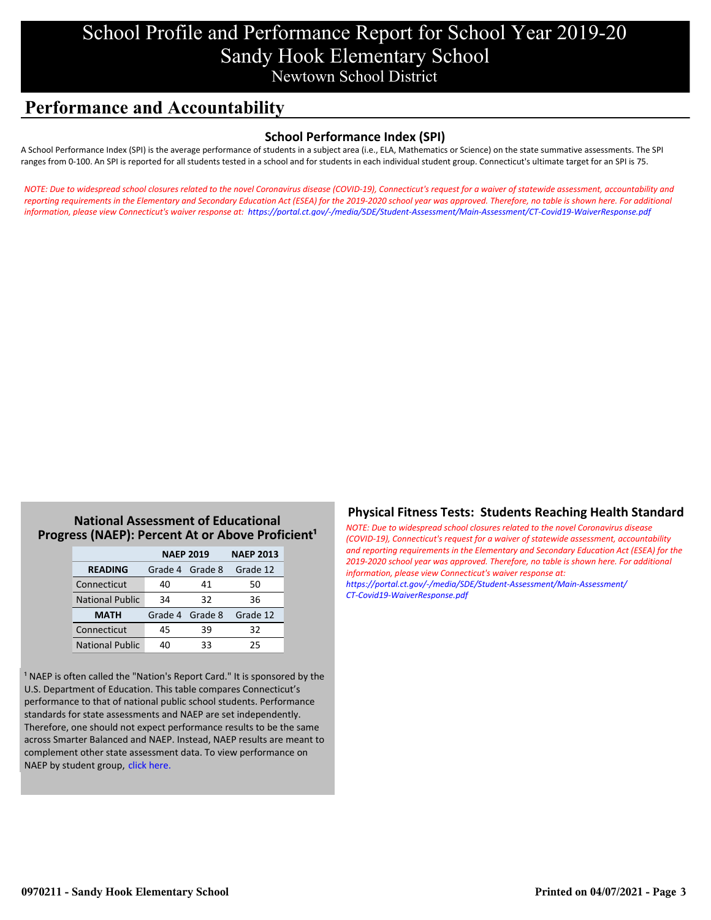# School Profile and Performance Report for School Year 2019-20 Sandy Hook Elementary School Newtown School District

# **Performance and Accountability**

### **School Performance Index (SPI)**

A School Performance Index (SPI) is the average performance of students in a subject area (i.e., ELA, Mathematics or Science) on the state summative assessments. The SPI ranges from 0-100. An SPI is reported for all students tested in a school and for students in each individual student group. Connecticut's ultimate target for an SPI is 75.

*[NOTE: Due to widespread school closures related to the novel Coronavirus disease \(COVID-19\), Connecticut's request for a waiver of statewide assessment, accountability and](https://portal.ct.gov/-/media/SDE/Student-Assessment/Main-Assessment/CT-Covid19-WaiverResponse.pdf) reporting requirements in the Elementary and Secondary Education Act (ESEA) for the 2019-2020 school year was approved. Therefore, no table is shown here. For additional information, please view Connecticut's waiver response at: https://portal.ct.gov/-/media/SDE/Student-Assessment/Main-Assessment/CT-Covid19-WaiverResponse.pdf*

### **National Assessment of Educational Progress (NAEP): Percent At or Above Proficient<sup>1</sup>**

|                        | <b>NAEP 2019</b> | <b>NAEP 2013</b> |          |
|------------------------|------------------|------------------|----------|
| <b>READING</b>         | Grade 4 Grade 8  |                  | Grade 12 |
| Connecticut            | 40               | 41               | 50       |
| <b>National Public</b> | 34               | 32               | 36       |
| <b>MATH</b>            | Grade 4 Grade 8  |                  | Grade 12 |
| Connecticut            | 45               | 39               | 32       |
| <b>National Public</b> | 40               | 33               | 25       |

<sup>1</sup> NAEP is often called the "Nation's Report Card." It is sponsored by the U.S. Department of Education. This table compares Connecticut's performance to that of national public school students. Performance standards for state assessments and NAEP are set independently. Therefore, one should not expect performance results to be the same across Smarter Balanced and NAEP. Instead, NAEP results are meant to complement other state assessment data. To view performance on NAEP by student group, click here.

### **Physical Fitness Tests: Students Reaching Health Standard**

*NOTE: Due to widespread school closures related to the novel Coronavirus disease (COVID-19), Connecticut's request for a waiver of statewide assessment, accountability [and reporting requirements in the Elementary and Secondary Education Act \(ESEA\) for the](https://portal.ct.gov/-/media/SDE/Student-Assessment/Main-Assessment/CT-Covid19-WaiverResponse.pdf) 2019-2020 school year was approved. Therefore, no table is shown here. For additional information, please view Connecticut's waiver response at: https://portal.ct.gov/-/media/SDE/Student-Assessment/Main-Assessment/ CT-Covid19-WaiverResponse.pdf*